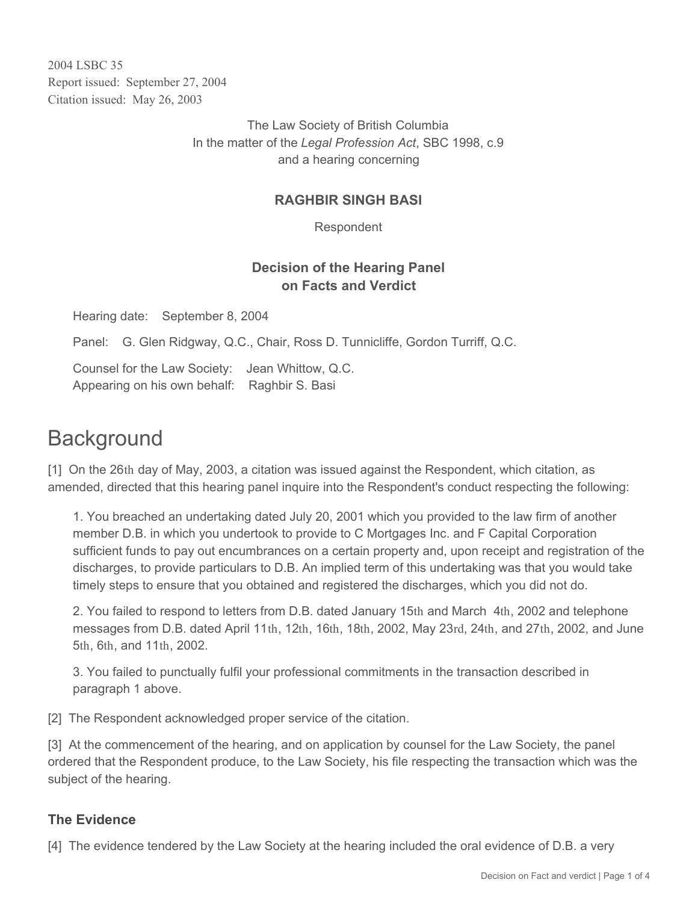2004 LSBC 35 Report issued: September 27, 2004 Citation issued: May 26, 2003

> The Law Society of British Columbia In the matter of the *Legal Profession Act*, SBC 1998, c.9 and a hearing concerning

### **RAGHBIR SINGH BASI**

Respondent

# **Decision of the Hearing Panel on Facts and Verdict**

Hearing date: September 8, 2004

Panel: G. Glen Ridgway, Q.C., Chair, Ross D. Tunnicliffe, Gordon Turriff, Q.C.

Counsel for the Law Society: Jean Whittow, Q.C. Appearing on his own behalf: Raghbir S. Basi

# **Background**

[1] On the 26th day of May, 2003, a citation was issued against the Respondent, which citation, as amended, directed that this hearing panel inquire into the Respondent's conduct respecting the following:

1. You breached an undertaking dated July 20, 2001 which you provided to the law firm of another member D.B. in which you undertook to provide to C Mortgages Inc. and F Capital Corporation sufficient funds to pay out encumbrances on a certain property and, upon receipt and registration of the discharges, to provide particulars to D.B. An implied term of this undertaking was that you would take timely steps to ensure that you obtained and registered the discharges, which you did not do.

2. You failed to respond to letters from D.B. dated January 15th and March 4th, 2002 and telephone messages from D.B. dated April 11th, 12th, 16th, 18th, 2002, May 23rd, 24th, and 27th, 2002, and June 5th, 6th, and 11th, 2002.

3. You failed to punctually fulfil your professional commitments in the transaction described in paragraph 1 above.

[2] The Respondent acknowledged proper service of the citation.

[3] At the commencement of the hearing, and on application by counsel for the Law Society, the panel ordered that the Respondent produce, to the Law Society, his file respecting the transaction which was the subject of the hearing.

#### **The Evidence**

[4] The evidence tendered by the Law Society at the hearing included the oral evidence of D.B. a very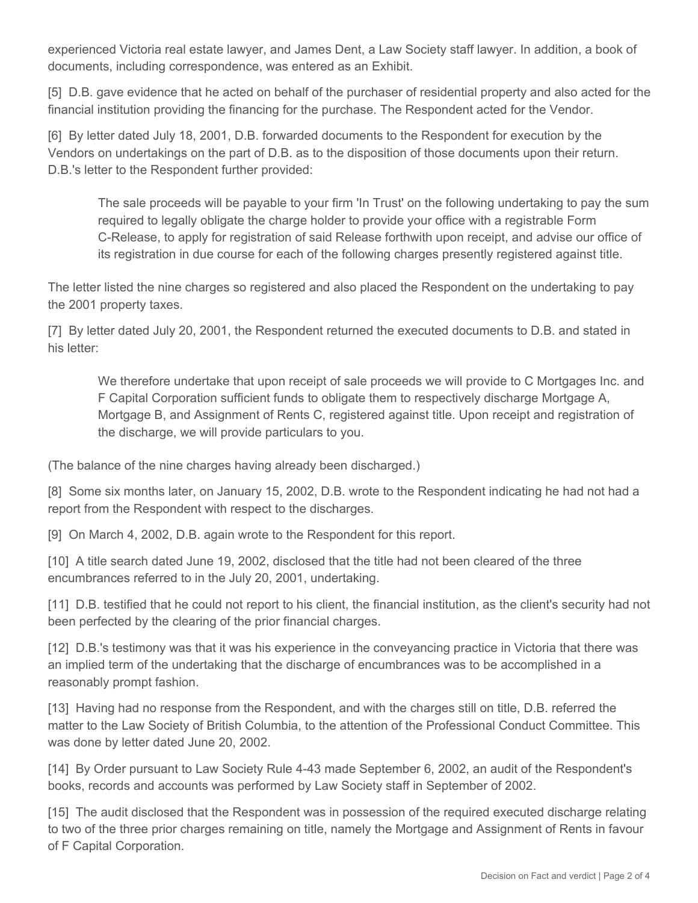experienced Victoria real estate lawyer, and James Dent, a Law Society staff lawyer. In addition, a book of documents, including correspondence, was entered as an Exhibit.

[5] D.B. gave evidence that he acted on behalf of the purchaser of residential property and also acted for the financial institution providing the financing for the purchase. The Respondent acted for the Vendor.

[6] By letter dated July 18, 2001, D.B. forwarded documents to the Respondent for execution by the Vendors on undertakings on the part of D.B. as to the disposition of those documents upon their return. D.B.'s letter to the Respondent further provided:

The sale proceeds will be payable to your firm 'In Trust' on the following undertaking to pay the sum required to legally obligate the charge holder to provide your office with a registrable Form C-Release, to apply for registration of said Release forthwith upon receipt, and advise our office of its registration in due course for each of the following charges presently registered against title.

The letter listed the nine charges so registered and also placed the Respondent on the undertaking to pay the 2001 property taxes.

[7] By letter dated July 20, 2001, the Respondent returned the executed documents to D.B. and stated in his letter:

We therefore undertake that upon receipt of sale proceeds we will provide to C Mortgages Inc. and F Capital Corporation sufficient funds to obligate them to respectively discharge Mortgage A, Mortgage B, and Assignment of Rents C, registered against title. Upon receipt and registration of the discharge, we will provide particulars to you.

(The balance of the nine charges having already been discharged.)

[8] Some six months later, on January 15, 2002, D.B. wrote to the Respondent indicating he had not had a report from the Respondent with respect to the discharges.

[9] On March 4, 2002, D.B. again wrote to the Respondent for this report.

[10] A title search dated June 19, 2002, disclosed that the title had not been cleared of the three encumbrances referred to in the July 20, 2001, undertaking.

[11] D.B. testified that he could not report to his client, the financial institution, as the client's security had not been perfected by the clearing of the prior financial charges.

[12] D.B.'s testimony was that it was his experience in the conveyancing practice in Victoria that there was an implied term of the undertaking that the discharge of encumbrances was to be accomplished in a reasonably prompt fashion.

[13] Having had no response from the Respondent, and with the charges still on title, D.B. referred the matter to the Law Society of British Columbia, to the attention of the Professional Conduct Committee. This was done by letter dated June 20, 2002.

[14] By Order pursuant to Law Society Rule 4-43 made September 6, 2002, an audit of the Respondent's books, records and accounts was performed by Law Society staff in September of 2002.

[15] The audit disclosed that the Respondent was in possession of the required executed discharge relating to two of the three prior charges remaining on title, namely the Mortgage and Assignment of Rents in favour of F Capital Corporation.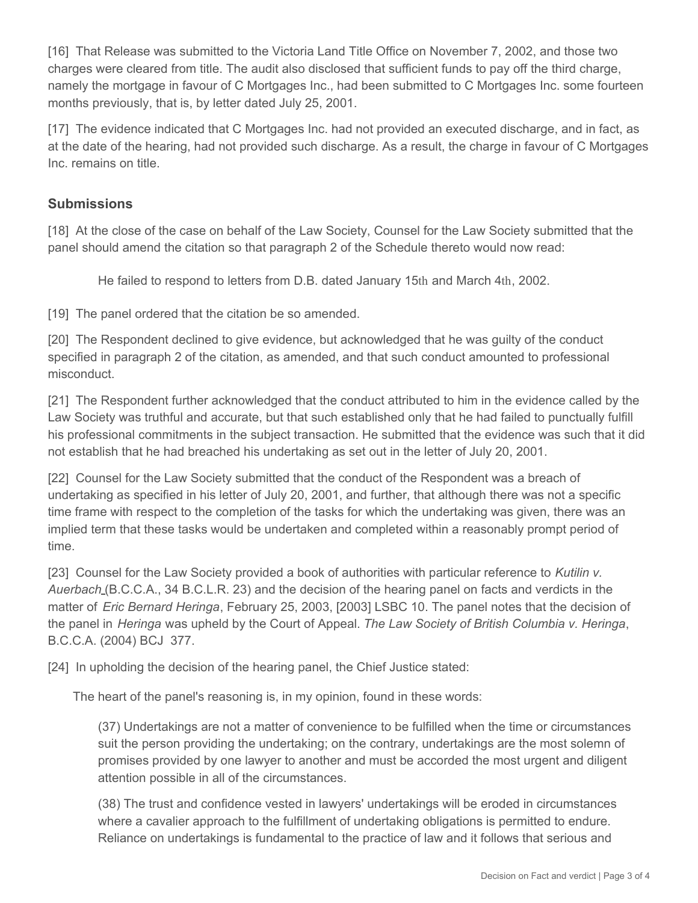[16] That Release was submitted to the Victoria Land Title Office on November 7, 2002, and those two charges were cleared from title. The audit also disclosed that sufficient funds to pay off the third charge, namely the mortgage in favour of C Mortgages Inc., had been submitted to C Mortgages Inc. some fourteen months previously, that is, by letter dated July 25, 2001.

[17] The evidence indicated that C Mortgages Inc. had not provided an executed discharge, and in fact, as at the date of the hearing, had not provided such discharge. As a result, the charge in favour of C Mortgages Inc. remains on title.

#### **Submissions**

[18] At the close of the case on behalf of the Law Society, Counsel for the Law Society submitted that the panel should amend the citation so that paragraph 2 of the Schedule thereto would now read:

He failed to respond to letters from D.B. dated January 15th and March 4th, 2002.

[19] The panel ordered that the citation be so amended.

[20] The Respondent declined to give evidence, but acknowledged that he was guilty of the conduct specified in paragraph 2 of the citation, as amended, and that such conduct amounted to professional misconduct.

[21] The Respondent further acknowledged that the conduct attributed to him in the evidence called by the Law Society was truthful and accurate, but that such established only that he had failed to punctually fulfill his professional commitments in the subject transaction. He submitted that the evidence was such that it did not establish that he had breached his undertaking as set out in the letter of July 20, 2001.

[22] Counsel for the Law Society submitted that the conduct of the Respondent was a breach of undertaking as specified in his letter of July 20, 2001, and further, that although there was not a specific time frame with respect to the completion of the tasks for which the undertaking was given, there was an implied term that these tasks would be undertaken and completed within a reasonably prompt period of time.

[23] Counsel for the Law Society provided a book of authorities with particular reference to *Kutilin v. Auerbach* (B.C.C.A., 34 B.C.L.R. 23) and the decision of the hearing panel on facts and verdicts in the matter of *Eric Bernard Heringa*, February 25, 2003, [2003] LSBC 10. The panel notes that the decision of the panel in *Heringa* was upheld by the Court of Appeal. *The Law Society of British Columbia v. Heringa*, B.C.C.A. (2004) BCJ 377.

[24] In upholding the decision of the hearing panel, the Chief Justice stated:

The heart of the panel's reasoning is, in my opinion, found in these words:

(37) Undertakings are not a matter of convenience to be fulfilled when the time or circumstances suit the person providing the undertaking; on the contrary, undertakings are the most solemn of promises provided by one lawyer to another and must be accorded the most urgent and diligent attention possible in all of the circumstances.

(38) The trust and confidence vested in lawyers' undertakings will be eroded in circumstances where a cavalier approach to the fulfillment of undertaking obligations is permitted to endure. Reliance on undertakings is fundamental to the practice of law and it follows that serious and